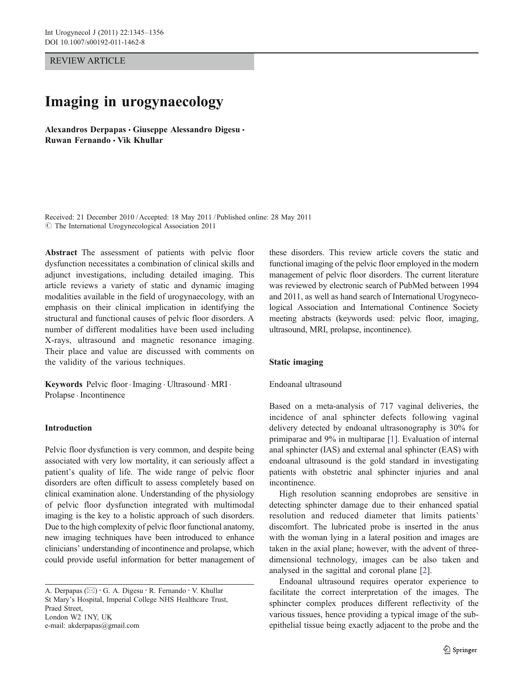REVIEW ARTICLE

# Imaging in urogynaecology

Alexandros Derpapas · Giuseppe Alessandro Digesu · Ruwan Fernando & Vik Khullar

Received: 21 December 2010 / Accepted: 18 May 2011 / Published online: 28 May 2011  $\circ$  The International Urogynecological Association 2011

Abstract The assessment of patients with pelvic floor dysfunction necessitates a combination of clinical skills and adjunct investigations, including detailed imaging. This article reviews a variety of static and dynamic imaging modalities available in the field of urogynaecology, with an emphasis on their clinical implication in identifying the structural and functional causes of pelvic floor disorders. A number of different modalities have been used including X-rays, ultrasound and magnetic resonance imaging. Their place and value are discussed with comments on the validity of the various techniques.

Keywords Pelvic floor. Imaging . Ultrasound . MRI . Prolapse . Incontinence

## Introduction

Pelvic floor dysfunction is very common, and despite being associated with very low mortality, it can seriously affect a patient's quality of life. The wide range of pelvic floor disorders are often difficult to assess completely based on clinical examination alone. Understanding of the physiology of pelvic floor dysfunction integrated with multimodal imaging is the key to a holistic approach of such disorders. Due to the high complexity of pelvic floor functional anatomy, new imaging techniques have been introduced to enhance clinicians' understanding of incontinence and prolapse, which could provide useful information for better management of

A. Derpapas ( $\boxtimes$ ) · G. A. Digesu · R. Fernando · V. Khullar St Mary's Hospital, Imperial College NHS Healthcare Trust, Praed Street, London W2 1NY, UK e-mail: akderpapas@gmail.com

these disorders. This review article covers the static and functional imaging of the pelvic floor employed in the modern management of pelvic floor disorders. The current literature was reviewed by electronic search of PubMed between 1994 and 2011, as well as hand search of International Urogynecological Association and International Continence Society meeting abstracts (keywords used: pelvic floor, imaging, ultrasound, MRI, prolapse, incontinence).

#### Static imaging

#### Endoanal ultrasound

Based on a meta-analysis of 717 vaginal deliveries, the incidence of anal sphincter defects following vaginal delivery detected by endoanal ultrasonography is 30% for primiparae and 9% in multiparae [[1\]](#page-9-0). Evaluation of internal anal sphincter (IAS) and external anal sphincter (EAS) with endoanal ultrasound is the gold standard in investigating patients with obstetric anal sphincter injuries and anal incontinence.

High resolution scanning endoprobes are sensitive in detecting sphincter damage due to their enhanced spatial resolution and reduced diameter that limits patients' discomfort. The lubricated probe is inserted in the anus with the woman lying in a lateral position and images are taken in the axial plane; however, with the advent of threedimensional technology, images can be also taken and analysed in the sagittal and coronal plane [[2\]](#page-9-0).

Endoanal ultrasound requires operator experience to facilitate the correct interpretation of the images. The sphincter complex produces different reflectivity of the various tissues, hence providing a typical image of the subepithelial tissue being exactly adjacent to the probe and the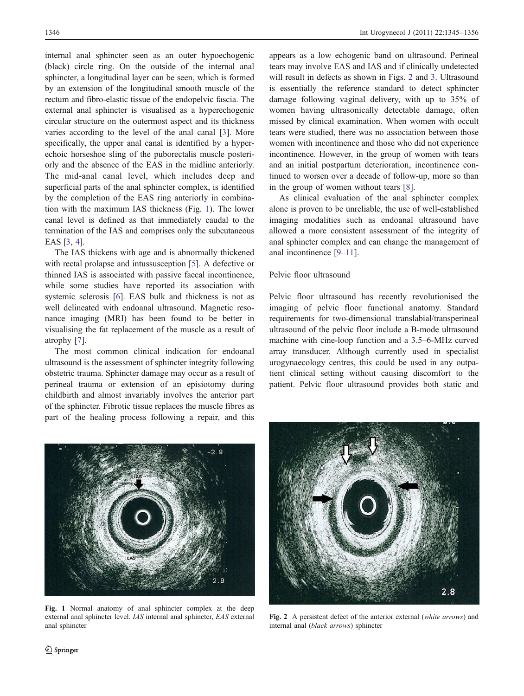internal anal sphincter seen as an outer hypoechogenic (black) circle ring. On the outside of the internal anal sphincter, a longitudinal layer can be seen, which is formed by an extension of the longitudinal smooth muscle of the rectum and fibro-elastic tissue of the endopelvic fascia. The external anal sphincter is visualised as a hyperechogenic circular structure on the outermost aspect and its thickness varies according to the level of the anal canal [[3\]](#page-10-0). More specifically, the upper anal canal is identified by a hyperechoic horseshoe sling of the puborectalis muscle posteriorly and the absence of the EAS in the midline anteriorly. The mid-anal canal level, which includes deep and superficial parts of the anal sphincter complex, is identified by the completion of the EAS ring anteriorly in combination with the maximum IAS thickness (Fig. 1). The lower canal level is defined as that immediately caudal to the termination of the IAS and comprises only the subcutaneous EAS [\[3](#page-10-0), [4\]](#page-10-0).

The IAS thickens with age and is abnormally thickened with rectal prolapse and intussusception [[5\]](#page-10-0). A defective or thinned IAS is associated with passive faecal incontinence, while some studies have reported its association with systemic sclerosis [[6\]](#page-10-0). EAS bulk and thickness is not as well delineated with endoanal ultrasound. Magnetic resonance imaging (MRI) has been found to be better in visualising the fat replacement of the muscle as a result of atrophy [[7\]](#page-10-0).

The most common clinical indication for endoanal ultrasound is the assessment of sphincter integrity following obstetric trauma. Sphincter damage may occur as a result of perineal trauma or extension of an episiotomy during childbirth and almost invariably involves the anterior part of the sphincter. Fibrotic tissue replaces the muscle fibres as part of the healing process following a repair, and this

appears as a low echogenic band on ultrasound. Perineal tears may involve EAS and IAS and if clinically undetected will result in defects as shown in Figs. 2 and [3.](#page-2-0) Ultrasound is essentially the reference standard to detect sphincter damage following vaginal delivery, with up to 35% of women having ultrasonically detectable damage, often missed by clinical examination. When women with occult tears were studied, there was no association between those women with incontinence and those who did not experience incontinence. However, in the group of women with tears and an initial postpartum deterioration, incontinence continued to worsen over a decade of follow-up, more so than in the group of women without tears [[8\]](#page-10-0).

As clinical evaluation of the anal sphincter complex alone is proven to be unreliable, the use of well-established imaging modalities such as endoanal ultrasound have allowed a more consistent assessment of the integrity of anal sphincter complex and can change the management of anal incontinence [[9](#page-10-0)–[11\]](#page-10-0).

## Pelvic floor ultrasound

Pelvic floor ultrasound has recently revolutionised the imaging of pelvic floor functional anatomy. Standard requirements for two-dimensional translabial/transperineal ultrasound of the pelvic floor include a B-mode ultrasound machine with cine-loop function and a 3.5–6-MHz curved array transducer. Although currently used in specialist urogynaecology centres, this could be used in any outpatient clinical setting without causing discomfort to the patient. Pelvic floor ultrasound provides both static and



Fig. 1 Normal anatomy of anal sphincter complex at the deep external anal sphincter level. IAS internal anal sphincter, EAS external anal sphincter



Fig. 2 A persistent defect of the anterior external (white arrows) and internal anal (black arrows) sphincter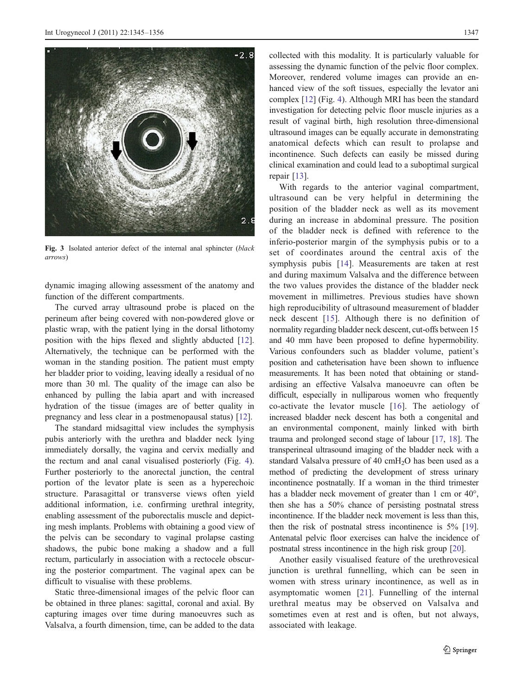<span id="page-2-0"></span>

Fig. 3 Isolated anterior defect of the internal anal sphincter (black arrows)

dynamic imaging allowing assessment of the anatomy and function of the different compartments.

The curved array ultrasound probe is placed on the perineum after being covered with non-powdered glove or plastic wrap, with the patient lying in the dorsal lithotomy position with the hips flexed and slightly abducted [\[12](#page-10-0)]. Alternatively, the technique can be performed with the woman in the standing position. The patient must empty her bladder prior to voiding, leaving ideally a residual of no more than 30 ml. The quality of the image can also be enhanced by pulling the labia apart and with increased hydration of the tissue (images are of better quality in pregnancy and less clear in a postmenopausal status) [[12\]](#page-10-0).

The standard midsagittal view includes the symphysis pubis anteriorly with the urethra and bladder neck lying immediately dorsally, the vagina and cervix medially and the rectum and anal canal visualised posteriorly (Fig. [4](#page-3-0)). Further posteriorly to the anorectal junction, the central portion of the levator plate is seen as a hyperechoic structure. Parasagittal or transverse views often yield additional information, i.e. confirming urethral integrity, enabling assessment of the puborectalis muscle and depicting mesh implants. Problems with obtaining a good view of the pelvis can be secondary to vaginal prolapse casting shadows, the pubic bone making a shadow and a full rectum, particularly in association with a rectocele obscuring the posterior compartment. The vaginal apex can be difficult to visualise with these problems.

Static three-dimensional images of the pelvic floor can be obtained in three planes: sagittal, coronal and axial. By capturing images over time during manoeuvres such as Valsalva, a fourth dimension, time, can be added to the data collected with this modality. It is particularly valuable for assessing the dynamic function of the pelvic floor complex. Moreover, rendered volume images can provide an enhanced view of the soft tissues, especially the levator ani complex [\[12](#page-10-0)] (Fig. [4\)](#page-3-0). Although MRI has been the standard investigation for detecting pelvic floor muscle injuries as a result of vaginal birth, high resolution three-dimensional ultrasound images can be equally accurate in demonstrating anatomical defects which can result to prolapse and incontinence. Such defects can easily be missed during clinical examination and could lead to a suboptimal surgical repair [[13](#page-10-0)].

With regards to the anterior vaginal compartment, ultrasound can be very helpful in determining the position of the bladder neck as well as its movement during an increase in abdominal pressure. The position of the bladder neck is defined with reference to the inferio-posterior margin of the symphysis pubis or to a set of coordinates around the central axis of the symphysis pubis [\[14\]](#page-10-0). Measurements are taken at rest and during maximum Valsalva and the difference between the two values provides the distance of the bladder neck movement in millimetres. Previous studies have shown high reproducibility of ultrasound measurement of bladder neck descent [\[15\]](#page-10-0). Although there is no definition of normality regarding bladder neck descent, cut-offs between 15 and 40 mm have been proposed to define hypermobility. Various confounders such as bladder volume, patient's position and catheterisation have been shown to influence measurements. It has been noted that obtaining or standardising an effective Valsalva manoeuvre can often be difficult, especially in nulliparous women who frequently co-activate the levator muscle [[16\]](#page-10-0). The aetiology of increased bladder neck descent has both a congenital and an environmental component, mainly linked with birth trauma and prolonged second stage of labour [\[17](#page-10-0), [18\]](#page-10-0). The transperineal ultrasound imaging of the bladder neck with a standard Valsalva pressure of 40 cmH2O has been used as a method of predicting the development of stress urinary incontinence postnatally. If a woman in the third trimester has a bladder neck movement of greater than 1 cm or  $40^{\circ}$ , then she has a 50% chance of persisting postnatal stress incontinence. If the bladder neck movement is less than this, then the risk of postnatal stress incontinence is 5% [[19\]](#page-10-0). Antenatal pelvic floor exercises can halve the incidence of postnatal stress incontinence in the high risk group [\[20](#page-10-0)].

Another easily visualised feature of the urethrovesical junction is urethral funnelling, which can be seen in women with stress urinary incontinence, as well as in asymptomatic women [[21](#page-10-0)]. Funnelling of the internal urethral meatus may be observed on Valsalva and sometimes even at rest and is often, but not always, associated with leakage.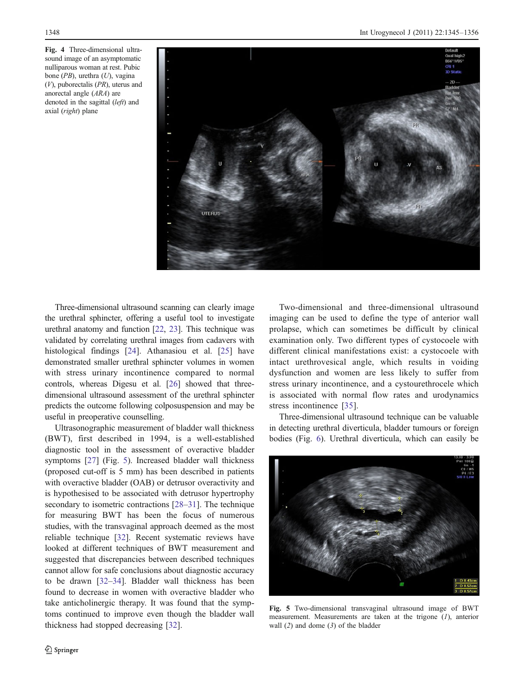<span id="page-3-0"></span>Fig. 4 Three-dimensional ultrasound image of an asymptomatic nulliparous woman at rest. Pubic bone (PB), urethra (U), vagina (V), puborectalis (PR), uterus and anorectal angle (ARA) are denoted in the sagittal (left) and axial (right) plane



Three-dimensional ultrasound scanning can clearly image the urethral sphincter, offering a useful tool to investigate urethral anatomy and function [\[22](#page-10-0), [23](#page-10-0)]. This technique was validated by correlating urethral images from cadavers with histological findings [\[24](#page-10-0)]. Athanasiou et al. [[25\]](#page-10-0) have demonstrated smaller urethral sphincter volumes in women with stress urinary incontinence compared to normal controls, whereas Digesu et al. [\[26\]](#page-10-0) showed that threedimensional ultrasound assessment of the urethral sphincter predicts the outcome following colposuspension and may be useful in preoperative counselling.

Ultrasonographic measurement of bladder wall thickness (BWT), first described in 1994, is a well-established diagnostic tool in the assessment of overactive bladder symptoms [\[27](#page-10-0)] (Fig. 5). Increased bladder wall thickness (proposed cut-off is 5 mm) has been described in patients with overactive bladder (OAB) or detrusor overactivity and is hypothesised to be associated with detrusor hypertrophy secondary to isometric contractions [[28](#page-10-0)–[31\]](#page-10-0). The technique for measuring BWT has been the focus of numerous studies, with the transvaginal approach deemed as the most reliable technique [\[32](#page-10-0)]. Recent systematic reviews have looked at different techniques of BWT measurement and suggested that discrepancies between described techniques cannot allow for safe conclusions about diagnostic accuracy to be drawn [\[32](#page-10-0)–[34](#page-10-0)]. Bladder wall thickness has been found to decrease in women with overactive bladder who take anticholinergic therapy. It was found that the symptoms continued to improve even though the bladder wall thickness had stopped decreasing [[32\]](#page-10-0).

Two-dimensional and three-dimensional ultrasound imaging can be used to define the type of anterior wall prolapse, which can sometimes be difficult by clinical examination only. Two different types of cystocoele with different clinical manifestations exist: a cystocoele with intact urethrovesical angle, which results in voiding dysfunction and women are less likely to suffer from stress urinary incontinence, and a cystourethrocele which is associated with normal flow rates and urodynamics stress incontinence [[35\]](#page-10-0).

Three-dimensional ultrasound technique can be valuable in detecting urethral diverticula, bladder tumours or foreign bodies (Fig. [6\)](#page-4-0). Urethral diverticula, which can easily be



Fig. 5 Two-dimensional transvaginal ultrasound image of BWT measurement. Measurements are taken at the trigone  $(1)$ , anterior wall (2) and dome (3) of the bladder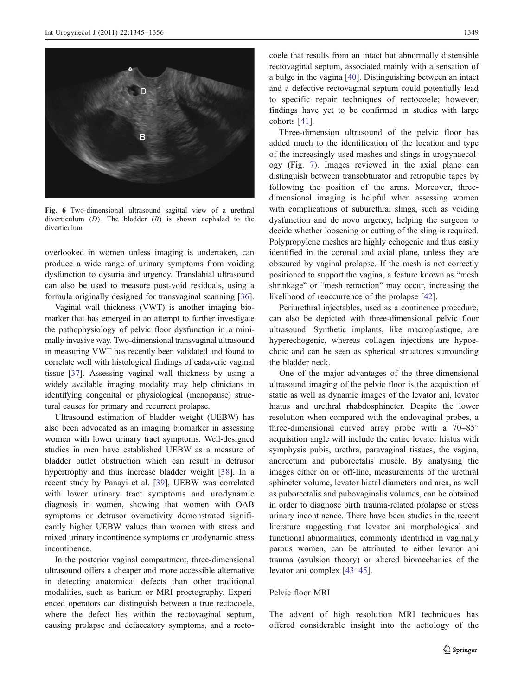<span id="page-4-0"></span>

Fig. 6 Two-dimensional ultrasound sagittal view of a urethral diverticulum  $(D)$ . The bladder  $(B)$  is shown cephalad to the diverticulum

overlooked in women unless imaging is undertaken, can produce a wide range of urinary symptoms from voiding dysfunction to dysuria and urgency. Translabial ultrasound can also be used to measure post-void residuals, using a formula originally designed for transvaginal scanning [\[36](#page-10-0)].

Vaginal wall thickness (VWT) is another imaging biomarker that has emerged in an attempt to further investigate the pathophysiology of pelvic floor dysfunction in a minimally invasive way. Two-dimensional transvaginal ultrasound in measuring VWT has recently been validated and found to correlate well with histological findings of cadaveric vaginal tissue [[37\]](#page-10-0). Assessing vaginal wall thickness by using a widely available imaging modality may help clinicians in identifying congenital or physiological (menopause) structural causes for primary and recurrent prolapse.

Ultrasound estimation of bladder weight (UEBW) has also been advocated as an imaging biomarker in assessing women with lower urinary tract symptoms. Well-designed studies in men have established UEBW as a measure of bladder outlet obstruction which can result in detrusor hypertrophy and thus increase bladder weight [\[38](#page-10-0)]. In a recent study by Panayi et al. [\[39](#page-10-0)], UEBW was correlated with lower urinary tract symptoms and urodynamic diagnosis in women, showing that women with OAB symptoms or detrusor overactivity demonstrated significantly higher UEBW values than women with stress and mixed urinary incontinence symptoms or urodynamic stress incontinence.

In the posterior vaginal compartment, three-dimensional ultrasound offers a cheaper and more accessible alternative in detecting anatomical defects than other traditional modalities, such as barium or MRI proctography. Experienced operators can distinguish between a true rectocoele, where the defect lies within the rectovaginal septum, causing prolapse and defaecatory symptoms, and a rectocoele that results from an intact but abnormally distensible rectovaginal septum, associated mainly with a sensation of a bulge in the vagina [\[40](#page-10-0)]. Distinguishing between an intact and a defective rectovaginal septum could potentially lead to specific repair techniques of rectocoele; however, findings have yet to be confirmed in studies with large cohorts [[41\]](#page-10-0).

Three-dimension ultrasound of the pelvic floor has added much to the identification of the location and type of the increasingly used meshes and slings in urogynaecology (Fig. [7](#page-5-0)). Images reviewed in the axial plane can distinguish between transobturator and retropubic tapes by following the position of the arms. Moreover, threedimensional imaging is helpful when assessing women with complications of suburethral slings, such as voiding dysfunction and de novo urgency, helping the surgeon to decide whether loosening or cutting of the sling is required. Polypropylene meshes are highly echogenic and thus easily identified in the coronal and axial plane, unless they are obscured by vaginal prolapse. If the mesh is not correctly positioned to support the vagina, a feature known as "mesh shrinkage" or "mesh retraction" may occur, increasing the likelihood of reoccurrence of the prolapse [\[42](#page-11-0)].

Periurethral injectables, used as a continence procedure, can also be depicted with three-dimensional pelvic floor ultrasound. Synthetic implants, like macroplastique, are hyperechogenic, whereas collagen injections are hypoechoic and can be seen as spherical structures surrounding the bladder neck.

One of the major advantages of the three-dimensional ultrasound imaging of the pelvic floor is the acquisition of static as well as dynamic images of the levator ani, levator hiatus and urethral rhabdosphincter. Despite the lower resolution when compared with the endovaginal probes, a three-dimensional curved array probe with a 70–85° acquisition angle will include the entire levator hiatus with symphysis pubis, urethra, paravaginal tissues, the vagina, anorectum and puborectalis muscle. By analysing the images either on or off-line, measurements of the urethral sphincter volume, levator hiatal diameters and area, as well as puborectalis and pubovaginalis volumes, can be obtained in order to diagnose birth trauma-related prolapse or stress urinary incontinence. There have been studies in the recent literature suggesting that levator ani morphological and functional abnormalities, commonly identified in vaginally parous women, can be attributed to either levator ani trauma (avulsion theory) or altered biomechanics of the levator ani complex [[43](#page-11-0)–[45\]](#page-11-0).

## Pelvic floor MRI

The advent of high resolution MRI techniques has offered considerable insight into the aetiology of the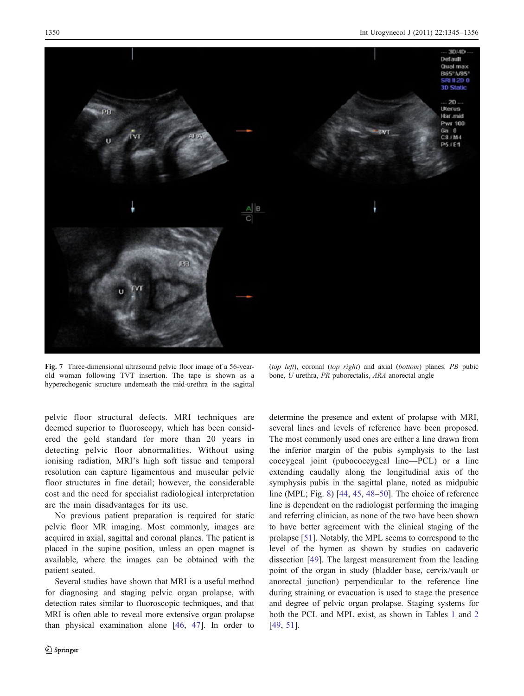<span id="page-5-0"></span>

Fig. 7 Three-dimensional ultrasound pelvic floor image of a 56-yearold woman following TVT insertion. The tape is shown as a hyperechogenic structure underneath the mid-urethra in the sagittal

(top left), coronal (top right) and axial (bottom) planes. PB pubic bone, U urethra, PR puborectalis, ARA anorectal angle

pelvic floor structural defects. MRI techniques are deemed superior to fluoroscopy, which has been considered the gold standard for more than 20 years in detecting pelvic floor abnormalities. Without using ionising radiation, MRI's high soft tissue and temporal resolution can capture ligamentous and muscular pelvic floor structures in fine detail; however, the considerable cost and the need for specialist radiological interpretation are the main disadvantages for its use.

No previous patient preparation is required for static pelvic floor MR imaging. Most commonly, images are acquired in axial, sagittal and coronal planes. The patient is placed in the supine position, unless an open magnet is available, where the images can be obtained with the patient seated.

Several studies have shown that MRI is a useful method for diagnosing and staging pelvic organ prolapse, with detection rates similar to fluoroscopic techniques, and that MRI is often able to reveal more extensive organ prolapse than physical examination alone [\[46](#page-11-0), [47](#page-11-0)]. In order to determine the presence and extent of prolapse with MRI, several lines and levels of reference have been proposed. The most commonly used ones are either a line drawn from the inferior margin of the pubis symphysis to the last coccygeal joint (pubococcygeal line—PCL) or a line extending caudally along the longitudinal axis of the symphysis pubis in the sagittal plane, noted as midpubic line (MPL; Fig. [8](#page-6-0)) [[44,](#page-11-0) [45](#page-11-0), [48](#page-11-0)–[50](#page-11-0)]. The choice of reference line is dependent on the radiologist performing the imaging and referring clinician, as none of the two have been shown to have better agreement with the clinical staging of the prolapse [\[51](#page-11-0)]. Notably, the MPL seems to correspond to the level of the hymen as shown by studies on cadaveric dissection [\[49](#page-11-0)]. The largest measurement from the leading point of the organ in study (bladder base, cervix/vault or anorectal junction) perpendicular to the reference line during straining or evacuation is used to stage the presence and degree of pelvic organ prolapse. Staging systems for both the PCL and MPL exist, as shown in Tables [1](#page-6-0) and [2](#page-6-0) [\[49](#page-11-0), [51](#page-11-0)].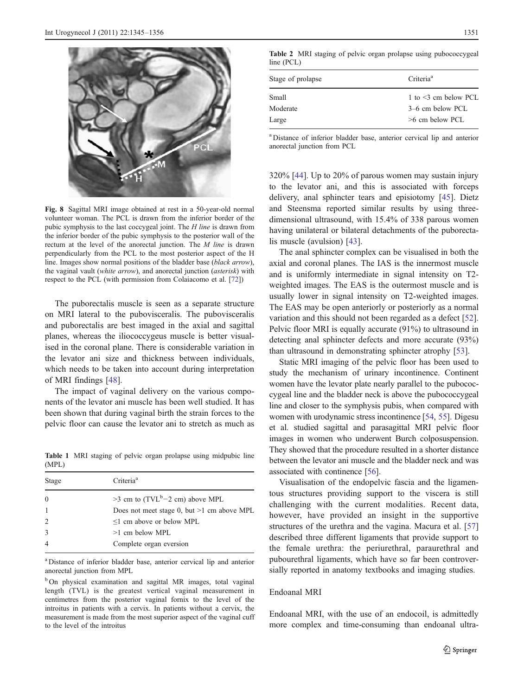<span id="page-6-0"></span>

Fig. 8 Sagittal MRI image obtained at rest in a 50-year-old normal volunteer woman. The PCL is drawn from the inferior border of the pubic symphysis to the last coccygeal joint. The  $H$  line is drawn from the inferior border of the pubic symphysis to the posterior wall of the rectum at the level of the anorectal junction. The M line is drawn perpendicularly from the PCL to the most posterior aspect of the H line. Images show normal positions of the bladder base (black arrow), the vaginal vault (white arrow), and anorectal junction (asterisk) with respect to the PCL (with permission from Colaiacomo et al. [[72](#page-11-0)])

The puborectalis muscle is seen as a separate structure on MRI lateral to the pubovisceralis. The pubovisceralis and puborectalis are best imaged in the axial and sagittal planes, whereas the iliococcygeus muscle is better visualised in the coronal plane. There is considerable variation in the levator ani size and thickness between individuals, which needs to be taken into account during interpretation of MRI findings [\[48](#page-11-0)].

The impact of vaginal delivery on the various components of the levator ani muscle has been well studied. It has been shown that during vaginal birth the strain forces to the pelvic floor can cause the levator ani to stretch as much as

Table 1 MRI staging of pelvic organ prolapse using midpubic line (MPL)

| Stage          | Criteria <sup>a</sup>                         |
|----------------|-----------------------------------------------|
| $\Omega$       | $>3$ cm to (TVL <sup>b</sup> -2 cm) above MPL |
| $\mathbf{1}$   | Does not meet stage 0, but $>1$ cm above MPL  |
| $\overline{c}$ | $\leq$ 1 cm above or below MPL                |
| 3              | $>1$ cm below MPL                             |
| $\overline{4}$ | Complete organ eversion                       |

<sup>a</sup> Distance of inferior bladder base, anterior cervical lip and anterior anorectal junction from MPL

<sup>b</sup> On physical examination and sagittal MR images, total vaginal length (TVL) is the greatest vertical vaginal measurement in centimetres from the posterior vaginal fornix to the level of the introitus in patients with a cervix. In patients without a cervix, the measurement is made from the most superior aspect of the vaginal cuff to the level of the introitus

Table 2 MRI staging of pelvic organ prolapse using pubococcygeal line (PCL)

| Stage of prolapse | Criteria <sup>a</sup>      |
|-------------------|----------------------------|
| Small             | 1 to $\leq$ 3 cm below PCL |
| Moderate          | 3–6 cm below PCL           |
| Large             | $>6$ cm below PCL.         |

<sup>a</sup> Distance of inferior bladder base, anterior cervical lip and anterior anorectal junction from PCL

320% [\[44](#page-11-0)]. Up to 20% of parous women may sustain injury to the levator ani, and this is associated with forceps delivery, anal sphincter tears and episiotomy [\[45](#page-11-0)]. Dietz and Steensma reported similar results by using threedimensional ultrasound, with 15.4% of 338 parous women having unilateral or bilateral detachments of the puborectalis muscle (avulsion) [[43](#page-11-0)].

The anal sphincter complex can be visualised in both the axial and coronal planes. The IAS is the innermost muscle and is uniformly intermediate in signal intensity on T2 weighted images. The EAS is the outermost muscle and is usually lower in signal intensity on T2-weighted images. The EAS may be open anteriorly or posteriorly as a normal variation and this should not been regarded as a defect [[52\]](#page-11-0). Pelvic floor MRI is equally accurate (91%) to ultrasound in detecting anal sphincter defects and more accurate (93%) than ultrasound in demonstrating sphincter atrophy [[53\]](#page-11-0).

Static MRI imaging of the pelvic floor has been used to study the mechanism of urinary incontinence. Continent women have the levator plate nearly parallel to the pubococcygeal line and the bladder neck is above the pubococcygeal line and closer to the symphysis pubis, when compared with women with urodynamic stress incontinence [\[54](#page-11-0), [55](#page-11-0)]. Digesu et al. studied sagittal and parasagittal MRI pelvic floor images in women who underwent Burch colposuspension. They showed that the procedure resulted in a shorter distance between the levator ani muscle and the bladder neck and was associated with continence [[56](#page-11-0)].

Visualisation of the endopelvic fascia and the ligamentous structures providing support to the viscera is still challenging with the current modalities. Recent data, however, have provided an insight in the supportive structures of the urethra and the vagina. Macura et al. [\[57](#page-11-0)] described three different ligaments that provide support to the female urethra: the periurethral, paraurethral and pubourethral ligaments, which have so far been controversially reported in anatomy textbooks and imaging studies.

## Endoanal MRI

Endoanal MRI, with the use of an endocoil, is admittedly more complex and time-consuming than endoanal ultra-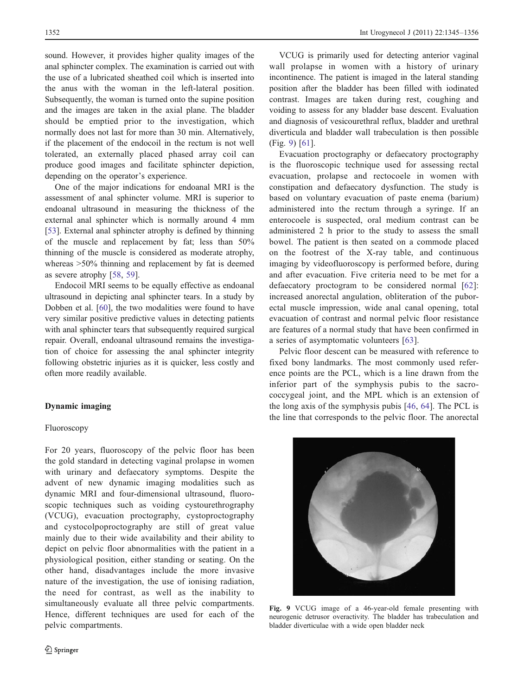sound. However, it provides higher quality images of the anal sphincter complex. The examination is carried out with the use of a lubricated sheathed coil which is inserted into the anus with the woman in the left-lateral position. Subsequently, the woman is turned onto the supine position and the images are taken in the axial plane. The bladder should be emptied prior to the investigation, which normally does not last for more than 30 min. Alternatively, if the placement of the endocoil in the rectum is not well tolerated, an externally placed phased array coil can produce good images and facilitate sphincter depiction, depending on the operator's experience.

One of the major indications for endoanal MRI is the assessment of anal sphincter volume. MRI is superior to endoanal ultrasound in measuring the thickness of the external anal sphincter which is normally around 4 mm [\[53](#page-11-0)]. External anal sphincter atrophy is defined by thinning of the muscle and replacement by fat; less than 50% thinning of the muscle is considered as moderate atrophy, whereas >50% thinning and replacement by fat is deemed as severe atrophy [[58,](#page-11-0) [59](#page-11-0)].

Endocoil MRI seems to be equally effective as endoanal ultrasound in depicting anal sphincter tears. In a study by Dobben et al. [[60\]](#page-11-0), the two modalities were found to have very similar positive predictive values in detecting patients with anal sphincter tears that subsequently required surgical repair. Overall, endoanal ultrasound remains the investigation of choice for assessing the anal sphincter integrity following obstetric injuries as it is quicker, less costly and often more readily available.

#### Dynamic imaging

#### Fluoroscopy

For 20 years, fluoroscopy of the pelvic floor has been the gold standard in detecting vaginal prolapse in women with urinary and defaecatory symptoms. Despite the advent of new dynamic imaging modalities such as dynamic MRI and four-dimensional ultrasound, fluoroscopic techniques such as voiding cystourethrography (VCUG), evacuation proctography, cystoproctography and cystocolpoproctography are still of great value mainly due to their wide availability and their ability to depict on pelvic floor abnormalities with the patient in a physiological position, either standing or seating. On the other hand, disadvantages include the more invasive nature of the investigation, the use of ionising radiation, the need for contrast, as well as the inability to simultaneously evaluate all three pelvic compartments. Hence, different techniques are used for each of the pelvic compartments.

VCUG is primarily used for detecting anterior vaginal wall prolapse in women with a history of urinary incontinence. The patient is imaged in the lateral standing position after the bladder has been filled with iodinated contrast. Images are taken during rest, coughing and voiding to assess for any bladder base descent. Evaluation and diagnosis of vesicourethral reflux, bladder and urethral diverticula and bladder wall trabeculation is then possible (Fig. 9) [\[61](#page-11-0)].

Evacuation proctography or defaecatory proctography is the fluoroscopic technique used for assessing rectal evacuation, prolapse and rectocoele in women with constipation and defaecatory dysfunction. The study is based on voluntary evacuation of paste enema (barium) administered into the rectum through a syringe. If an enterocoele is suspected, oral medium contrast can be administered 2 h prior to the study to assess the small bowel. The patient is then seated on a commode placed on the footrest of the X-ray table, and continuous imaging by videofluoroscopy is performed before, during and after evacuation. Five criteria need to be met for a defaecatory proctogram to be considered normal [[62](#page-11-0)]: increased anorectal angulation, obliteration of the puborectal muscle impression, wide anal canal opening, total evacuation of contrast and normal pelvic floor resistance are features of a normal study that have been confirmed in a series of asymptomatic volunteers [[63\]](#page-11-0).

Pelvic floor descent can be measured with reference to fixed bony landmarks. The most commonly used reference points are the PCL, which is a line drawn from the inferior part of the symphysis pubis to the sacrococcygeal joint, and the MPL which is an extension of the long axis of the symphysis pubis [[46,](#page-11-0) [64\]](#page-11-0). The PCL is the line that corresponds to the pelvic floor. The anorectal



Fig. 9 VCUG image of a 46-year-old female presenting with neurogenic detrusor overactivity. The bladder has trabeculation and bladder diverticulae with a wide open bladder neck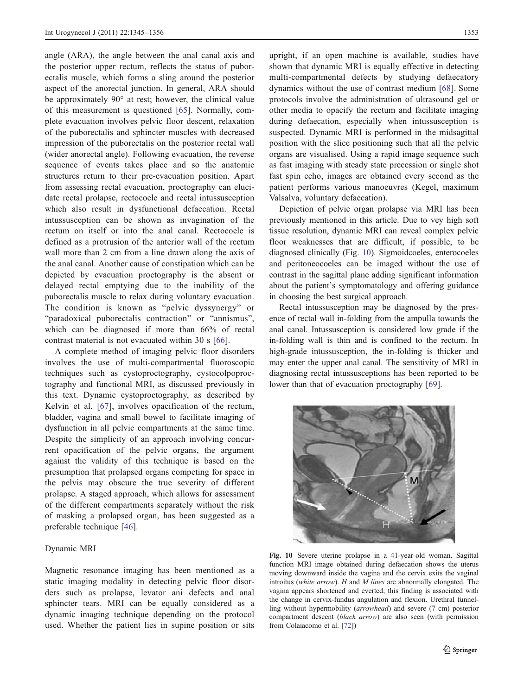angle (ARA), the angle between the anal canal axis and the posterior upper rectum, reflects the status of puborectalis muscle, which forms a sling around the posterior aspect of the anorectal junction. In general, ARA should be approximately 90° at rest; however, the clinical value of this measurement is questioned [\[65](#page-11-0)]. Normally, complete evacuation involves pelvic floor descent, relaxation of the puborectalis and sphincter muscles with decreased impression of the puborectalis on the posterior rectal wall (wider anorectal angle). Following evacuation, the reverse sequence of events takes place and so the anatomic structures return to their pre-evacuation position. Apart from assessing rectal evacuation, proctography can elucidate rectal prolapse, rectocoele and rectal intussusception which also result in dysfunctional defaecation. Rectal intussusception can be shown as invagination of the rectum on itself or into the anal canal. Rectocoele is defined as a protrusion of the anterior wall of the rectum wall more than 2 cm from a line drawn along the axis of the anal canal. Another cause of constipation which can be depicted by evacuation proctography is the absent or delayed rectal emptying due to the inability of the puborectalis muscle to relax during voluntary evacuation. The condition is known as "pelvic dyssynergy" or "paradoxical puborectalis contraction" or "annismus", which can be diagnosed if more than 66% of rectal contrast material is not evacuated within 30 s [[66\]](#page-11-0).

A complete method of imaging pelvic floor disorders involves the use of multi-compartmental fluoroscopic techniques such as cystoproctography, cystocolpoproctography and functional MRI, as discussed previously in this text. Dynamic cystoproctography, as described by Kelvin et al. [[67\]](#page-11-0), involves opacification of the rectum, bladder, vagina and small bowel to facilitate imaging of dysfunction in all pelvic compartments at the same time. Despite the simplicity of an approach involving concurrent opacification of the pelvic organs, the argument against the validity of this technique is based on the presumption that prolapsed organs competing for space in the pelvis may obscure the true severity of different prolapse. A staged approach, which allows for assessment of the different compartments separately without the risk of masking a prolapsed organ, has been suggested as a preferable technique [[46](#page-11-0)].

#### Dynamic MRI

Magnetic resonance imaging has been mentioned as a static imaging modality in detecting pelvic floor disorders such as prolapse, levator ani defects and anal sphincter tears. MRI can be equally considered as a dynamic imaging technique depending on the protocol used. Whether the patient lies in supine position or sits

upright, if an open machine is available, studies have shown that dynamic MRI is equally effective in detecting multi-compartmental defects by studying defaecatory dynamics without the use of contrast medium [[68\]](#page-11-0). Some protocols involve the administration of ultrasound gel or other media to opacify the rectum and facilitate imaging during defaecation, especially when intussusception is suspected. Dynamic MRI is performed in the midsagittal position with the slice positioning such that all the pelvic organs are visualised. Using a rapid image sequence such as fast imaging with steady state precession or single shot fast spin echo, images are obtained every second as the patient performs various manoeuvres (Kegel, maximum Valsalva, voluntary defaecation).

Depiction of pelvic organ prolapse via MRI has been previously mentioned in this article. Due to vey high soft tissue resolution, dynamic MRI can reveal complex pelvic floor weaknesses that are difficult, if possible, to be diagnosed clinically (Fig. 10). Sigmoidcoeles, enterocoeles and peritoneocoeles can be imaged without the use of contrast in the sagittal plane adding significant information about the patient's symptomatology and offering guidance in choosing the best surgical approach.

Rectal intussusception may be diagnosed by the presence of rectal wall in-folding from the ampulla towards the anal canal. Intussusception is considered low grade if the in-folding wall is thin and is confined to the rectum. In high-grade intussusception, the in-folding is thicker and may enter the upper anal canal. The sensitivity of MRI in diagnosing rectal intussusceptions has been reported to be lower than that of evacuation proctography [\[69](#page-11-0)].



Fig. 10 Severe uterine prolapse in a 41-year-old woman. Sagittal function MRI image obtained during defaecation shows the uterus moving downward inside the vagina and the cervix exits the vaginal introitus (white arrow). H and M lines are abnormally elongated. The vagina appears shortened and everted; this finding is associated with the change in cervix-fundus angulation and flexion. Urethral funnelling without hypermobility (arrowhead) and severe (7 cm) posterior compartment descent (black arrow) are also seen (with permission from Colaiacomo et al. [[72](#page-11-0)])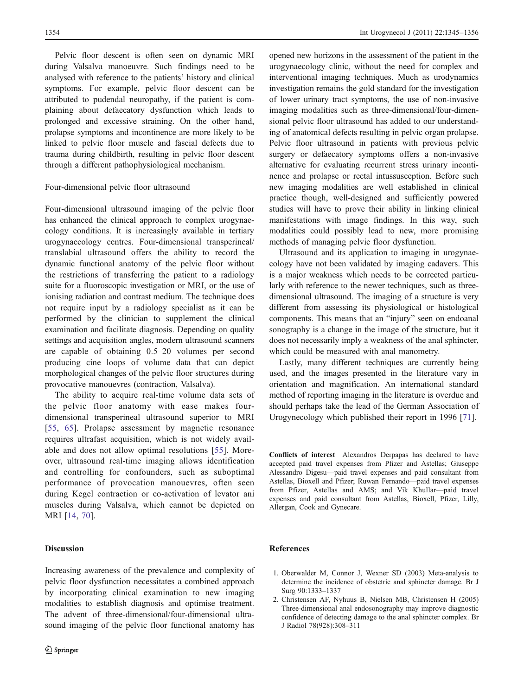<span id="page-9-0"></span>Pelvic floor descent is often seen on dynamic MRI during Valsalva manoeuvre. Such findings need to be analysed with reference to the patients' history and clinical symptoms. For example, pelvic floor descent can be attributed to pudendal neuropathy, if the patient is complaining about defaecatory dysfunction which leads to prolonged and excessive straining. On the other hand, prolapse symptoms and incontinence are more likely to be linked to pelvic floor muscle and fascial defects due to trauma during childbirth, resulting in pelvic floor descent through a different pathophysiological mechanism.

#### Four-dimensional pelvic floor ultrasound

Four-dimensional ultrasound imaging of the pelvic floor has enhanced the clinical approach to complex urogynaecology conditions. It is increasingly available in tertiary urogynaecology centres. Four-dimensional transperineal/ translabial ultrasound offers the ability to record the dynamic functional anatomy of the pelvic floor without the restrictions of transferring the patient to a radiology suite for a fluoroscopic investigation or MRI, or the use of ionising radiation and contrast medium. The technique does not require input by a radiology specialist as it can be performed by the clinician to supplement the clinical examination and facilitate diagnosis. Depending on quality settings and acquisition angles, modern ultrasound scanners are capable of obtaining 0.5–20 volumes per second producing cine loops of volume data that can depict morphological changes of the pelvic floor structures during provocative manouevres (contraction, Valsalva).

The ability to acquire real-time volume data sets of the pelvic floor anatomy with ease makes fourdimensional transperineal ultrasound superior to MRI [\[55,](#page-11-0) [65\]](#page-11-0). Prolapse assessment by magnetic resonance requires ultrafast acquisition, which is not widely available and does not allow optimal resolutions [[55](#page-11-0)]. Moreover, ultrasound real-time imaging allows identification and controlling for confounders, such as suboptimal performance of provocation manouevres, often seen during Kegel contraction or co-activation of levator ani muscles during Valsalva, which cannot be depicted on MRI [[14,](#page-10-0) [70\]](#page-11-0).

## **Discussion**

Increasing awareness of the prevalence and complexity of pelvic floor dysfunction necessitates a combined approach by incorporating clinical examination to new imaging modalities to establish diagnosis and optimise treatment. The advent of three-dimensional/four-dimensional ultrasound imaging of the pelvic floor functional anatomy has

opened new horizons in the assessment of the patient in the urogynaecology clinic, without the need for complex and interventional imaging techniques. Much as urodynamics investigation remains the gold standard for the investigation of lower urinary tract symptoms, the use of non-invasive imaging modalities such as three-dimensional/four-dimensional pelvic floor ultrasound has added to our understanding of anatomical defects resulting in pelvic organ prolapse. Pelvic floor ultrasound in patients with previous pelvic surgery or defaecatory symptoms offers a non-invasive alternative for evaluating recurrent stress urinary incontinence and prolapse or rectal intussusception. Before such new imaging modalities are well established in clinical practice though, well-designed and sufficiently powered studies will have to prove their ability in linking clinical manifestations with image findings. In this way, such modalities could possibly lead to new, more promising methods of managing pelvic floor dysfunction.

Ultrasound and its application to imaging in urogynaecology have not been validated by imaging cadavers. This is a major weakness which needs to be corrected particularly with reference to the newer techniques, such as threedimensional ultrasound. The imaging of a structure is very different from assessing its physiological or histological components. This means that an "injury" seen on endoanal sonography is a change in the image of the structure, but it does not necessarily imply a weakness of the anal sphincter, which could be measured with anal manometry.

Lastly, many different techniques are currently being used, and the images presented in the literature vary in orientation and magnification. An international standard method of reporting imaging in the literature is overdue and should perhaps take the lead of the German Association of Urogynecology which published their report in 1996 [\[71](#page-11-0)].

Conflicts of interest Alexandros Derpapas has declared to have accepted paid travel expenses from Pfizer and Astellas; Giuseppe Alessandro Digesu—paid travel expenses and paid consultant from Astellas, Bioxell and Pfizer; Ruwan Fernando—paid travel expenses from Pfizer, Astellas and AMS; and Vik Khullar—paid travel expenses and paid consultant from Astellas, Bioxell, Pfizer, Lilly, Allergan, Cook and Gynecare.

#### References

- 1. Oberwalder M, Connor J, Wexner SD (2003) Meta-analysis to determine the incidence of obstetric anal sphincter damage. Br J Surg 90:1333–1337
- 2. Christensen AF, Nyhuus B, Nielsen MB, Christensen H (2005) Three-dimensional anal endosonography may improve diagnostic confidence of detecting damage to the anal sphincter complex. Br J Radiol 78(928):308–311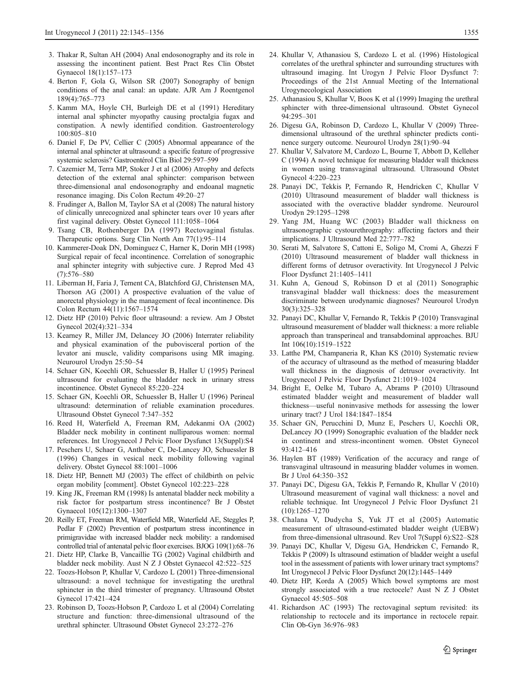- <span id="page-10-0"></span>3. Thakar R, Sultan AH (2004) Anal endosonography and its role in assessing the incontinent patient. Best Pract Res Clin Obstet Gynaecol 18(1):157–173
- 4. Berton F, Gola G, Wilson SR (2007) Sonography of benign conditions of the anal canal: an update. AJR Am J Roentgenol 189(4):765–773
- 5. Kamm MA, Hoyle CH, Burleigh DE et al (1991) Hereditary internal anal sphincter myopathy causing proctalgia fugax and constipation. A newly identified condition. Gastroenterology 100:805–810
- 6. Daniel F, De PV, Cellier C (2005) Abnormal appearance of the internal anal sphincter at ultrasound: a specific feature of progressive systemic sclerosis? Gastroentérol Clin Biol 29:597–599
- 7. Cazemier M, Terra MP, Stoker J et al (2006) Atrophy and defects detection of the external anal sphincter: comparison between three-dimensional anal endosonography and endoanal magnetic resonance imaging. Dis Colon Rectum 49:20–27
- 8. Frudinger A, Ballon M, Taylor SA et al (2008) The natural history of clinically unrecognized anal sphincter tears over 10 years after first vaginal delivery. Obstet Gynecol 111:1058–1064
- 9. Tsang CB, Rothenberger DA (1997) Rectovaginal fistulas. Therapeutic options. Surg Clin North Am 77(1):95–114
- 10. Kammerer-Doak DN, Dominguez C, Harner K, Dorin MH (1998) Surgical repair of fecal incontinence. Correlation of sonographic anal sphincter integrity with subjective cure. J Reprod Med 43 (7):576–580
- 11. Liberman H, Faria J, Ternent CA, Blatchford GJ, Christensen MA, Thorson AG (2001) A prospective evaluation of the value of anorectal physiology in the management of fecal incontinence. Dis Colon Rectum 44(11):1567–1574
- 12. Dietz HP (2010) Pelvic floor ultrasound: a review. Am J Obstet Gynecol 202(4):321–334
- 13. Kearney R, Miller JM, Delancey JO (2006) Interrater reliability and physical examination of the pubovisceral portion of the levator ani muscle, validity comparisons using MR imaging. Neurourol Urodyn 25:50–54
- 14. Schaer GN, Koechli OR, Schuessler B, Haller U (1995) Perineal ultrasound for evaluating the bladder neck in urinary stress incontinence. Obstet Gynecol 85:220–224
- 15. Schaer GN, Koechli OR, Schuessler B, Haller U (1996) Perineal ultrasound: determination of reliable examination procedures. Ultrasound Obstet Gynecol 7:347–352
- 16. Reed H, Waterfield A, Freeman RM, Adekanmi OA (2002) Bladder neck mobility in continent nulliparous women: normal references. Int Urogynecol J Pelvic Floor Dysfunct 13(Suppl):S4
- 17. Peschers U, Schaer G, Anthuber C, De-Lancey JO, Schuessler B (1996) Changes in vesical neck mobility following vaginal delivery. Obstet Gynecol 88:1001–1006
- 18. Dietz HP, Bennett MJ (2003) The effect of childbirth on pelvic organ mobility [comment]. Obstet Gynecol 102:223–228
- 19. King JK, Freeman RM (1998) Is antenatal bladder neck mobility a risk factor for postpartum stress incontinence? Br J Obstet Gynaecol 105(12):1300–1307
- 20. Reilly ET, Freeman RM, Waterfield MR, Waterfield AE, Steggles P, Pedlar F (2002) Prevention of postpartum stress incontinence in primigravidae with increased bladder neck mobility: a randomised controlled trial of antenatal pelvic floor exercises. BJOG 109(1):68–76
- 21. Dietz HP, Clarke B, Vancaillie TG (2002) Vaginal childbirth and bladder neck mobility. Aust N Z J Obstet Gynaecol 42:522–525
- 22. Toozs-Hobson P, Khullar V, Cardozo L (2001) Three-dimensional ultrasound: a novel technique for investigating the urethral sphincter in the third trimester of pregnancy. Ultrasound Obstet Gynecol 17:421–424
- 23. Robinson D, Toozs-Hobson P, Cardozo L et al (2004) Correlating structure and function: three-dimensional ultrasound of the urethral sphincter. Ultrasound Obstet Gynecol 23:272–276
- 24. Khullar V, Athanasiou S, Cardozo L et al. (1996) Histological correlates of the urethral sphincter and surrounding structures with ultrasound imaging. Int Urogyn J Pelvic Floor Dysfunct 7: Proceedings of the 21st Annual Meeting of the International Urogynecological Association
- 25. Athanasiou S, Khullar V, Boos K et al (1999) Imaging the urethral sphincter with three-dimensional ultrasound. Obstet Gynecol 94:295–301
- 26. Digesu GA, Robinson D, Cardozo L, Khullar V (2009) Threedimensional ultrasound of the urethral sphincter predicts continence surgery outcome. Neurourol Urodyn 28(1):90–94
- 27. Khullar V, Salvatore M, Cardozo L, Bourne T, Abbott D, Kelleher C (1994) A novel technique for measuring bladder wall thickness in women using transvaginal ultrasound. Ultrasound Obstet Gynecol 4:220–223
- 28. Panayi DC, Tekkis P, Fernando R, Hendricken C, Khullar V (2010) Ultrasound measurement of bladder wall thickness is associated with the overactive bladder syndrome. Neurourol Urodyn 29:1295–1298
- 29. Yang JM, Huang WC (2003) Bladder wall thickness on ultrasonographic cystourethrography: affecting factors and their implications. J Ultrasound Med 22:777–782
- 30. Serati M, Salvatore S, Cattoni E, Soligo M, Cromi A, Ghezzi F (2010) Ultrasound measurement of bladder wall thickness in different forms of detrusor overactivity. Int Urogynecol J Pelvic Floor Dysfunct 21:1405–1411
- 31. Kuhn A, Genoud S, Robinson D et al (2011) Sonographic transvaginal bladder wall thickness: does the measurement discriminate between urodynamic diagnoses? Neurourol Urodyn 30(3):325–328
- 32. Panayi DC, Khullar V, Fernando R, Tekkis P (2010) Transvaginal ultrasound measurement of bladder wall thickness: a more reliable approach than transperineal and transabdominal approaches. BJU Int 106(10):1519–1522
- 33. Latthe PM, Champaneria R, Khan KS (2010) Systematic review of the accuracy of ultrasound as the method of measuring bladder wall thickness in the diagnosis of detrusor overactivity. Int Urogynecol J Pelvic Floor Dysfunct 21:1019–1024
- 34. Bright E, Oelke M, Tubaro A, Abrams P (2010) Ultrasound estimated bladder weight and measurement of bladder wall thickness—useful noninvasive methods for assessing the lower urinary tract? J Urol 184:1847–1854
- 35. Schaer GN, Perucchini D, Munz E, Peschers U, Koechli OR, DeLancey JO (1999) Sonographic evaluation of the bladder neck in continent and stress-incontinent women. Obstet Gynecol 93:412–416
- 36. Haylen BT (1989) Verification of the accuracy and range of transvaginal ultrasound in measuring bladder volumes in women. Br J Urol 64:350–352
- 37. Panayi DC, Digesu GA, Tekkis P, Fernando R, Khullar V (2010) Ultrasound measurement of vaginal wall thickness: a novel and reliable technique. Int Urogynecol J Pelvic Floor Dysfunct 21 (10):1265–1270
- 38. Chalana V, Dudycha S, Yuk JT et al (2005) Automatic measurement of ultrasound-estimated bladder weight (UEBW) from three-dimensional ultrasound. Rev Urol 7(Suppl 6):S22–S28
- 39. Panayi DC, Khullar V, Digesu GA, Hendricken C, Fernando R, Tekkis P (2009) Is ultrasound estimation of bladder weight a useful tool in the assessment of patients with lower urinary tract symptoms? Int Urogynecol J Pelvic Floor Dysfunct 20(12):1445–1449
- 40. Dietz HP, Korda A (2005) Which bowel symptoms are most strongly associated with a true rectocele? Aust N Z J Obstet Gynaecol 45:505–508
- 41. Richardson AC (1993) The rectovaginal septum revisited: its relationship to rectocele and its importance in rectocele repair. Clin Ob-Gyn 36:976–983